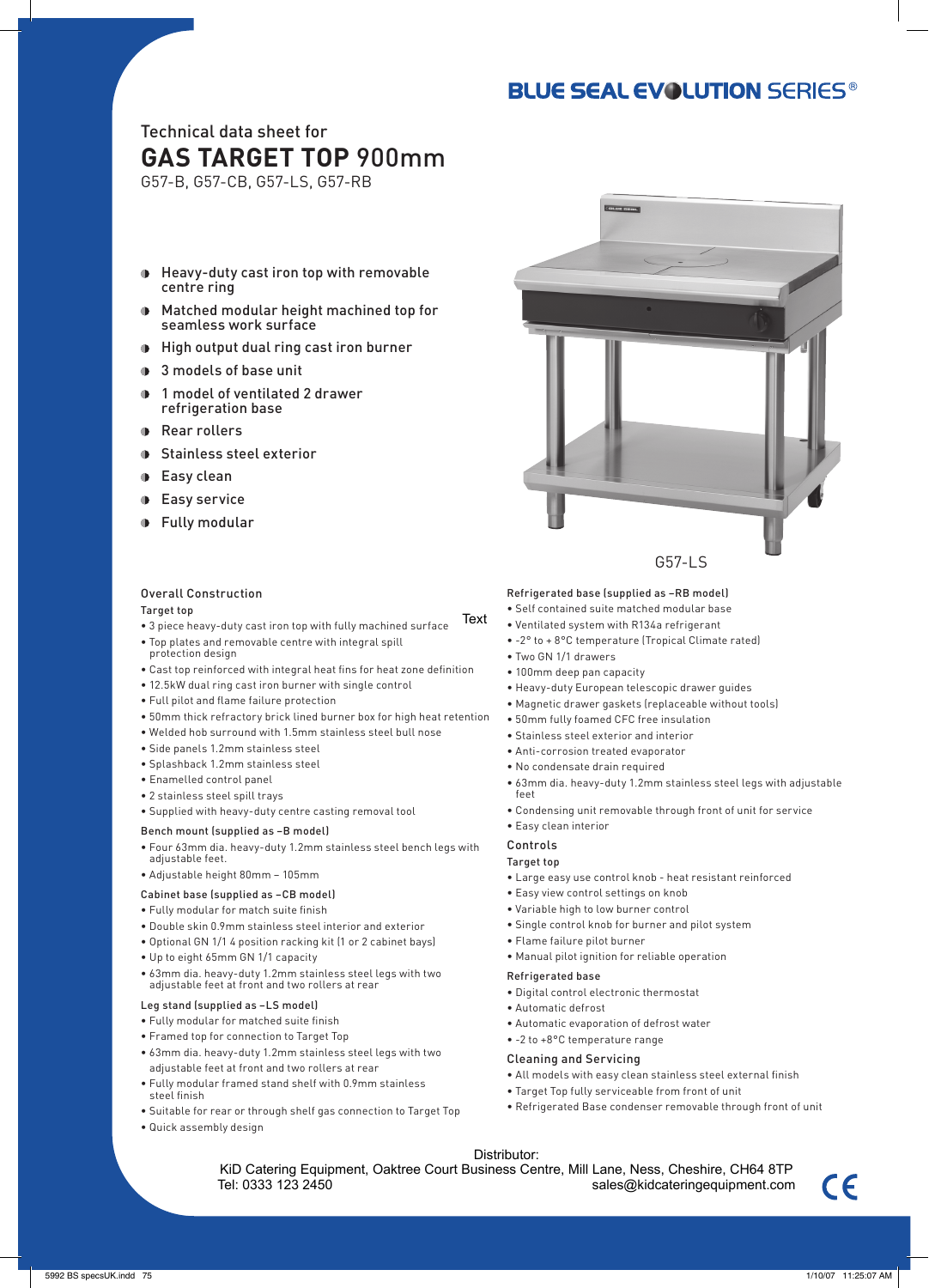## **BLUE SEAL EVOLUTION SERIES®**

### Technical data sheet for **GAS TARGET TOP** 900mm

G57-B, G57-CB, G57-LS, G57-RB

- $\blacksquare$ Heavy-duty cast iron top with removable centre ring
- Matched modular height machined top for seamless work surface
- High output dual ring cast iron burner
- 3 models of base unit
- **1** model of ventilated 2 drawer refrigeration base
- **Rear rollers**
- **Stainless steel exterior**
- **D** Easy clean
- **D** Easy service
- **D** Fully modular

#### Overall Construction

#### Target top

- 3 piece heavy-duty cast iron top with fully machined surface
- Top plates and removable centre with integral spill
- protection design
- Cast top reinforced with integral heat fins for heat zone definition
- 12.5kW dual ring cast iron burner with single control
- Full pilot and flame failure protection
- 50mm thick refractory brick lined burner box for high heat retention
- Welded hob surround with 1.5mm stainless steel bull nose
- Side panels 1.2mm stainless steel
- Splashback 1.2mm stainless steel
- Enamelled control panel
- 2 stainless steel spill trays
- Supplied with heavy-duty centre casting removal tool

#### Bench mount (supplied as –B model)

- Four 63mm dia. heavy-duty 1.2mm stainless steel bench legs with adjustable feet.
- Adjustable height 80mm 105mm
- Cabinet base (supplied as –CB model)
- Fully modular for match suite finish
- Double skin 0.9mm stainless steel interior and exterior
- Optional GN 1/1 4 position racking kit (1 or 2 cabinet bays)
- Up to eight 65mm GN 1/1 capacity
- 63mm dia. heavy-duty 1.2mm stainless steel legs with two adjustable feet at front and two rollers at rear

#### Leg stand (supplied as –LS model)

- Fully modular for matched suite finish
- Framed top for connection to Target Top
- 63mm dia. heavy-duty 1.2mm stainless steel legs with two adjustable feet at front and two rollers at rear
- Fully modular framed stand shelf with 0.9mm stainless steel finish
- Suitable for rear or through shelf gas connection to Target Top
- Quick assembly design



#### Refrigerated base (supplied as –RB model)

- Self contained suite matched modular base
- Ventilated system with R134a refrigerant
- -2° to + 8°C temperature (Tropical Climate rated)
- Two GN 1/1 drawers
- 100mm deep pan capacity
- Heavy-duty European telescopic drawer guides
- Magnetic drawer gaskets (replaceable without tools)
- 50mm fully foamed CFC free insulation
- Stainless steel exterior and interior
- Anti-corrosion treated evaporator
- No condensate drain required
- 63mm dia. heavy-duty 1.2mm stainless steel legs with adjustable
- Condensing unit removable through front of unit for service
- Easy clean interior

#### Controls

#### Target top

feet

- Large easy use control knob heat resistant reinforced
- Easy view control settings on knob
- Variable high to low burner control
- Single control knob for burner and pilot system
- Flame failure pilot burner
- Manual pilot ignition for reliable operation

#### Refrigerated base

- Digital control electronic thermostat
- Automatic defrost
- Automatic evaporation of defrost water
- -2 to +8°C temperature range

#### Cleaning and Servicing

- All models with easy clean stainless steel external finish
- Target Top fully serviceable from front of unit
- Refrigerated Base condenser removable through front of unit
- Distributor:

KiD Catering Equipment, Oaktree Court Business Centre, Mill Lane, Ness, Cheshire, CH64 8TP diaty and in this web the state of the state of the state of the state of the state of the state of the state of the state of the state of the state of the state of the state of the state of the state of the state of the